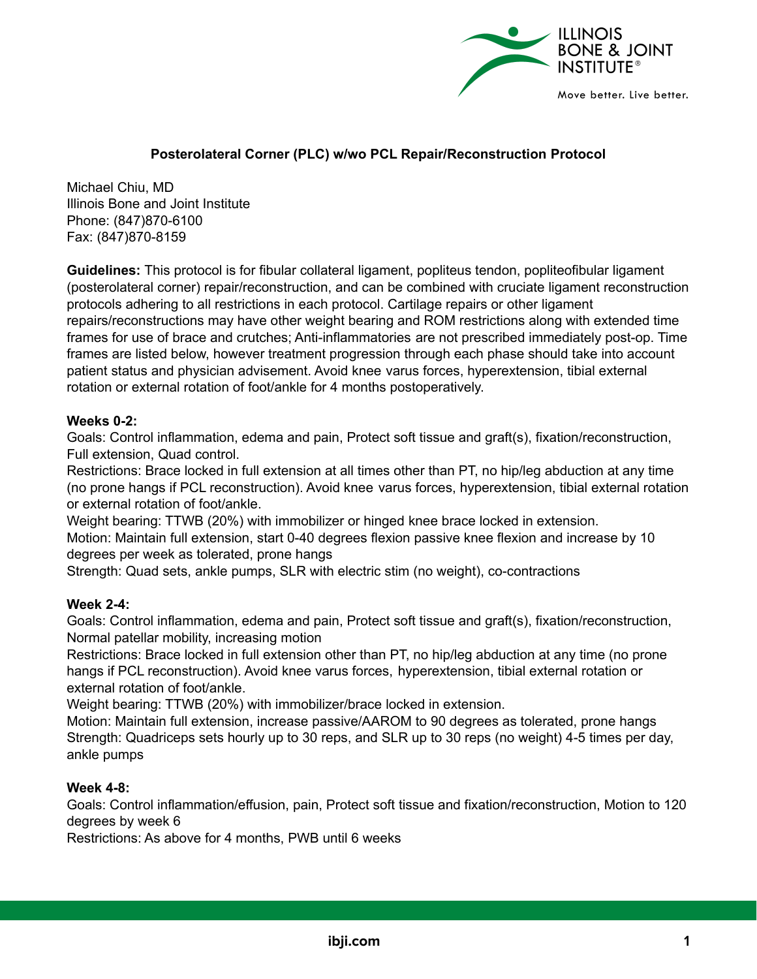

# **Posterolateral Corner (PLC) w/wo PCL Repair/Reconstruction Protocol**

Michael Chiu, MD Illinois Bone and Joint Institute Phone: (847)870-6100 Fax: (847)870-8159

**Guidelines:** This protocol is for fibular collateral ligament, popliteus tendon, popliteofibular ligament (posterolateral corner) repair/reconstruction, and can be combined with cruciate ligament reconstruction protocols adhering to all restrictions in each protocol. Cartilage repairs or other ligament repairs/reconstructions may have other weight bearing and ROM restrictions along with extended time frames for use of brace and crutches; Anti-inflammatories are not prescribed immediately post-op. Time frames are listed below, however treatment progression through each phase should take into account patient status and physician advisement. Avoid knee varus forces, hyperextension, tibial external rotation or external rotation of foot/ankle for 4 months postoperatively.

### **Weeks 0-2:**

Goals: Control inflammation, edema and pain, Protect soft tissue and graft(s), fixation/reconstruction, Full extension, Quad control.

Restrictions: Brace locked in full extension at all times other than PT, no hip/leg abduction at any time (no prone hangs if PCL reconstruction). Avoid knee varus forces, hyperextension, tibial external rotation or external rotation of foot/ankle.

Weight bearing: TTWB (20%) with immobilizer or hinged knee brace locked in extension.

Motion: Maintain full extension, start 0-40 degrees flexion passive knee flexion and increase by 10 degrees per week as tolerated, prone hangs

Strength: Quad sets, ankle pumps, SLR with electric stim (no weight), co-contractions

## **Week 2-4:**

Goals: Control inflammation, edema and pain, Protect soft tissue and graft(s), fixation/reconstruction, Normal patellar mobility, increasing motion

Restrictions: Brace locked in full extension other than PT, no hip/leg abduction at any time (no prone hangs if PCL reconstruction). Avoid knee varus forces, hyperextension, tibial external rotation or external rotation of foot/ankle.

Weight bearing: TTWB (20%) with immobilizer/brace locked in extension.

Motion: Maintain full extension, increase passive/AAROM to 90 degrees as tolerated, prone hangs Strength: Quadriceps sets hourly up to 30 reps, and SLR up to 30 reps (no weight) 4-5 times per day, ankle pumps

### **Week 4-8:**

Goals: Control inflammation/effusion, pain, Protect soft tissue and fixation/reconstruction, Motion to 120 degrees by week 6

Restrictions: As above for 4 months, PWB until 6 weeks